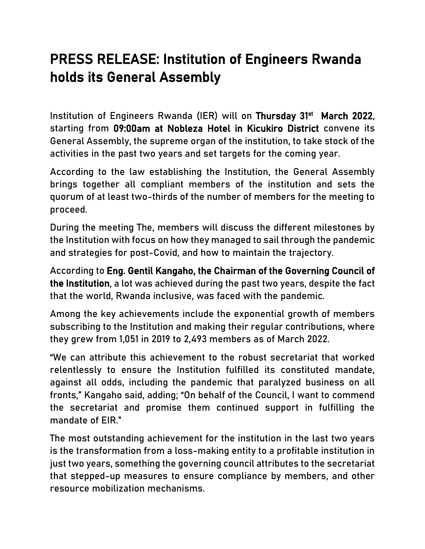# PRESS RELEASE: Institution of Engineers Rwanda holds its General Assembly

Institution of Engineers Rwanda (IER) will on Thursday 31<sup>st</sup> March 2022, starting from 09:00am at Nobleza Hotel in Kicukiro District convene its General Assembly, the supreme organ of the institution, to take stock of the activities in the past two years and set targets for the coming year.

According to the law establishing the Institution, the General Assembly brings together all compliant members of the institution and sets the quorum of at least two-thirds of the number of members for the meeting to proceed.

During the meeting The, members will discuss the different milestones by the Institution with focus on how they managed to sail through the pandemic and strategies for post-Covid, and how to maintain the trajectory.

According to Eng. Gentil Kangaho, the Chairman of the Governing Council of the Institution, a lot was achieved during the past two years, despite the fact that the world, Rwanda inclusive, was faced with the pandemic.

Among the key achievements include the exponential growth of members subscribing to the Institution and making their regular contributions, where they grew from 1,051 in 2019 to 2,493 members as of March 2022.

"We can attribute this achievement to the robust secretariat that worked relentlessly to ensure the Institution fulfilled its constituted mandate, against all odds, including the pandemic that paralyzed business on all fronts," Kangaho said, adding; "On behalf of the Council, I want to commend the secretariat and promise them continued support in fulfilling the mandate of EIR."

The most outstanding achievement for the institution in the last two years is the transformation from a loss-making entity to a profitable institution in just two years, something the governing council attributes to the secretariat that stepped-up measures to ensure compliance by members, and other resource mobilization mechanisms.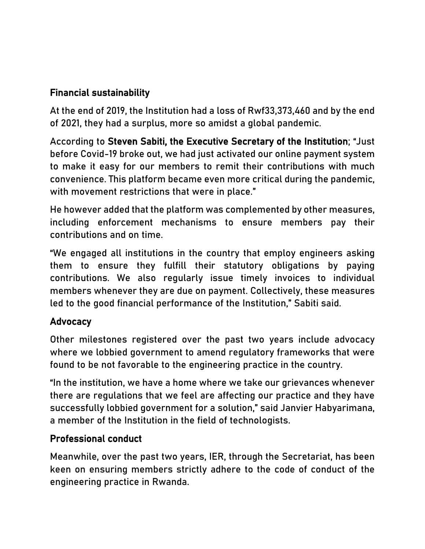## Financial sustainability

At the end of 2019, the Institution had a loss of Rwf33,373,460 and by the end of 2021, they had a surplus, more so amidst a global pandemic.

According to Steven Sabiti, the Executive Secretary of the Institution; "Just before Covid-19 broke out, we had just activated our online payment system to make it easy for our members to remit their contributions with much convenience. This platform became even more critical during the pandemic, with movement restrictions that were in place."

He however added that the platform was complemented by other measures, including enforcement mechanisms to ensure members pay their contributions and on time.

"We engaged all institutions in the country that employ engineers asking them to ensure they fulfill their statutory obligations by paying contributions. We also regularly issue timely invoices to individual members whenever they are due on payment. Collectively, these measures led to the good financial performance of the Institution," Sabiti said.

## Advocacy

Other milestones registered over the past two years include advocacy where we lobbied government to amend regulatory frameworks that were found to be not favorable to the engineering practice in the country.

"In the institution, we have a home where we take our grievances whenever there are regulations that we feel are affecting our practice and they have successfully lobbied government for a solution," said Janvier Habyarimana, a member of the Institution in the field of technologists.

## Professional conduct

Meanwhile, over the past two years, IER, through the Secretariat, has been keen on ensuring members strictly adhere to the code of conduct of the engineering practice in Rwanda.